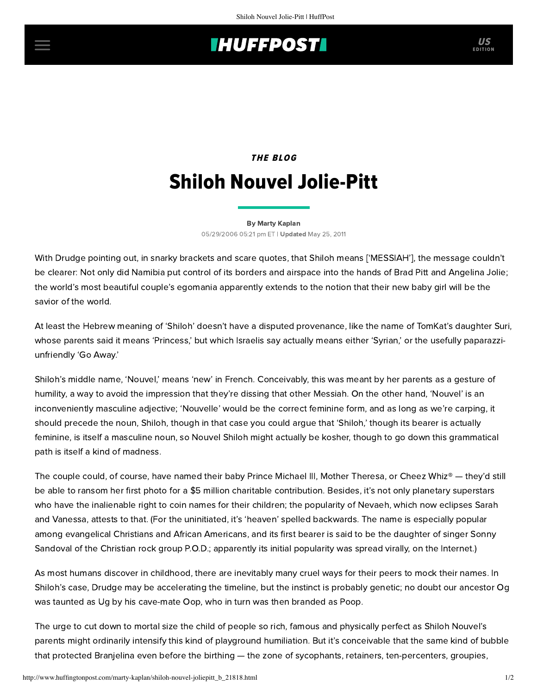## **IHUFFPOSTI** US

## THE BLOG Shiloh Nouvel Jolie-Pitt

[By Marty Kaplan](http://www.huffingtonpost.com/author/marty-kaplan) 05/29/2006 05:21 pm ET | Updated May 25, 2011

With Drudge pointing out, in snarky brackets and scare quotes, that Shiloh means ['MESSIAH'], the message couldn't be clearer: Not only did Namibia put control of its borders and airspace into the hands of Brad Pitt and Angelina Jolie; the world's most beautiful couple's egomania apparently extends to the notion that their new baby girl will be the savior of the world.

At least the Hebrew meaning of 'Shiloh' doesn't have a disputed provenance, like the name of TomKat's daughter Suri, whose parents said it means 'Princess,' but which Israelis say actually means either 'Syrian,' or the usefully paparazziunfriendly 'Go Away.'

Shiloh's middle name, 'Nouvel,' means 'new' in French. Conceivably, this was meant by her parents as a gesture of humility, a way to avoid the impression that they're dissing that other Messiah. On the other hand, 'Nouvel' is an inconveniently masculine adjective; 'Nouvelle' would be the correct feminine form, and as long as we're carping, it should precede the noun, Shiloh, though in that case you could argue that 'Shiloh,' though its bearer is actually feminine, is itself a masculine noun, so Nouvel Shiloh might actually be kosher, though to go down this grammatical path is itself a kind of madness.

The couple could, of course, have named their baby Prince Michael III, Mother Theresa, or Cheez Whiz® — they'd still be able to ransom her first photo for a \$5 million charitable contribution. Besides, it's not only planetary superstars who have the inalienable right to coin names for their children; the popularity of Nevaeh, which now eclipses Sarah and Vanessa, attests to that. (For the uninitiated, it's 'heaven' spelled backwards. The name is especially popular among evangelical Christians and African Americans, and its first bearer is said to be the daughter of singer Sonny Sandoval of the Christian rock group P.O.D.; apparently its initial popularity was spread virally, on the Internet.)

As most humans discover in childhood, there are inevitably many cruel ways for their peers to mock their names. In Shiloh's case, Drudge may be accelerating the timeline, but the instinct is probably genetic; no doubt our ancestor Og was taunted as Ug by his cave-mate Oop, who in turn was then branded as Poop.

The urge to cut down to mortal size the child of people so rich, famous and physically perfect as Shiloh Nouvel's parents might ordinarily intensify this kind of playground humiliation. But it's conceivable that the same kind of bubble that protected Branjelina even before the birthing — the zone of sycophants, retainers, ten-percenters, groupies,